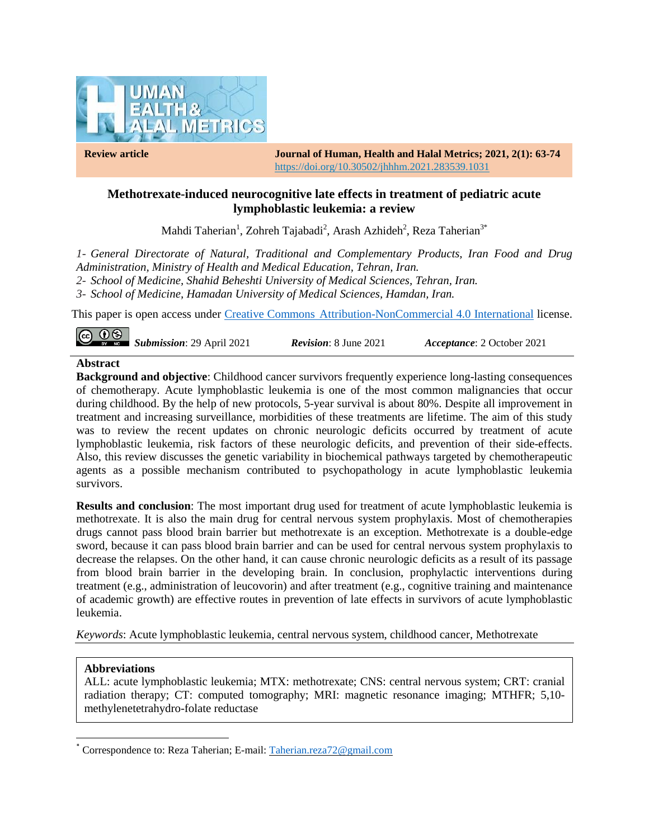

**Review article Journal of Human, Health and Halal Metrics; 2021, 2(1): 63-74** https://doi.org/10.30502/jhhhm.2021.283539.1031

## **Methotrexate-induced neurocognitive late effects in treatment of pediatric acute lymphoblastic leukemia: a review**

Mahdi Taherian<sup>1</sup>, Zohreh Tajabadi<sup>2</sup>, Arash Azhideh<sup>2</sup>, Reza Taherian<sup>3\*</sup>

*1- General Directorate of Natural, Traditional and Complementary Products, Iran Food and Drug Administration, Ministry of Health and Medical Education, Tehran, Iran.*

*2- School of Medicine, Shahid Beheshti University of Medical Sciences, Tehran, Iran.*

*3- School of Medicine, Hamadan University of Medical Sciences, Hamdan, Iran.*

This paper is open access under Creative Commons [Attribution-NonCommercial 4.0 International](https://creativecommons.org/licenses/by-nc/4.0/) license.

| $\overline{\text{CD}}$ $\overline{\text{CD}}$ $\overline{\text{SD}}$ <i>Submission</i> : 29 April 2021 | <b>Revision:</b> 8 June 2021 | <i>Acceptance</i> : 2 October 2021 |  |
|--------------------------------------------------------------------------------------------------------|------------------------------|------------------------------------|--|
|--------------------------------------------------------------------------------------------------------|------------------------------|------------------------------------|--|

#### **Abstract**

**Background and objective**: Childhood cancer survivors frequently experience long-lasting consequences of chemotherapy. Acute lymphoblastic leukemia is one of the most common malignancies that occur during childhood. By the help of new protocols, 5-year survival is about 80%. Despite all improvement in treatment and increasing surveillance, morbidities of these treatments are lifetime. The aim of this study was to review the recent updates on chronic neurologic deficits occurred by treatment of acute lymphoblastic leukemia, risk factors of these neurologic deficits, and prevention of their side-effects. Also, this review discusses the genetic variability in biochemical pathways targeted by chemotherapeutic agents as a possible mechanism contributed to psychopathology in acute lymphoblastic leukemia survivors.

**Results and conclusion**: The most important drug used for treatment of acute lymphoblastic leukemia is methotrexate. It is also the main drug for central nervous system prophylaxis. Most of chemotherapies drugs cannot pass blood brain barrier but methotrexate is an exception. Methotrexate is a double-edge sword, because it can pass blood brain barrier and can be used for central nervous system prophylaxis to decrease the relapses. On the other hand, it can cause chronic neurologic deficits as a result of its passage from blood brain barrier in the developing brain. In conclusion, prophylactic interventions during treatment (e.g., administration of leucovorin) and after treatment (e.g., cognitive training and maintenance of academic growth) are effective routes in prevention of late effects in survivors of acute lymphoblastic leukemia.

*Keywords*: Acute lymphoblastic leukemia, central nervous system, childhood cancer, Methotrexate

### **Abbreviations**

l

ALL: acute lymphoblastic leukemia; MTX: methotrexate; CNS: central nervous system; CRT: cranial radiation therapy; CT: computed tomography; MRI: magnetic resonance imaging; MTHFR; 5,10 methylenetetrahydro-folate reductase

<sup>\*</sup> Correspondence to: Reza Taherian; E-mail: [Taherian.reza72@gmail.com](mailto:Taherian.reza72@gmail.com)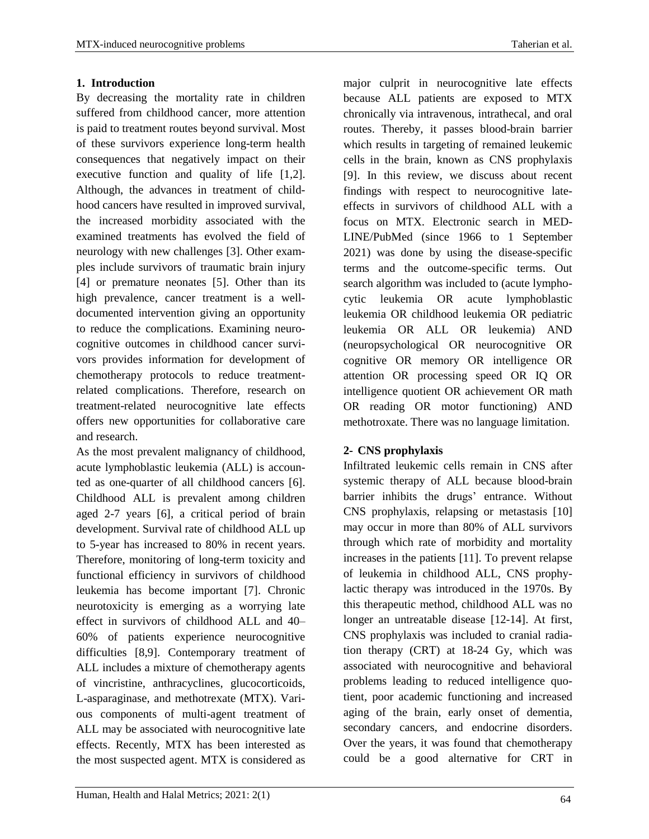## **1. Introduction**

By decreasing the mortality rate in children suffered from childhood cancer, more attention is paid to treatment routes beyond survival. Most of these survivors experience long-term health consequences that negatively impact on their executive function and quality of life [1,2]. Although, the advances in treatment of childhood cancers have resulted in improved survival, the increased morbidity associated with the examined treatments has evolved the field of neurology with new challenges [3]. Other examples include survivors of traumatic brain injury [4] or premature neonates [5]. Other than its high prevalence, cancer treatment is a welldocumented intervention giving an opportunity to reduce the complications. Examining neurocognitive outcomes in childhood cancer survivors provides information for development of chemotherapy protocols to reduce treatmentrelated complications. Therefore, research on treatment-related neurocognitive late effects offers new opportunities for collaborative care and research.

As the most prevalent malignancy of childhood, acute lymphoblastic leukemia (ALL) is accounted as one-quarter of all childhood cancers [6]. Childhood ALL is prevalent among children aged 2-7 years [6], a critical period of brain development. Survival rate of childhood ALL up to 5-year has increased to 80% in recent years. Therefore, monitoring of long-term toxicity and functional efficiency in survivors of childhood leukemia has become important [7]. Chronic neurotoxicity is emerging as a worrying late effect in survivors of childhood ALL and 40– 60% of patients experience neurocognitive difficulties [8,9]. Contemporary treatment of ALL includes a mixture of chemotherapy agents of vincristine, anthracyclines, glucocorticoids, L-asparaginase, and methotrexate (MTX). Various components of multi-agent treatment of ALL may be associated with neurocognitive late effects. Recently, MTX has been interested as the most suspected agent. MTX is considered as

major culprit in neurocognitive late effects because ALL patients are exposed to MTX chronically via intravenous, intrathecal, and oral routes. Thereby, it passes blood-brain barrier which results in targeting of remained leukemic cells in the brain, known as CNS prophylaxis [9]. In this review, we discuss about recent findings with respect to neurocognitive lateeffects in survivors of childhood ALL with a focus on MTX. Electronic search in MED-LINE/PubMed (since 1966 to 1 September 2021) was done by using the disease-specific terms and the outcome-specific terms. Out search algorithm was included to (acute lymphocytic leukemia OR acute lymphoblastic leukemia OR childhood leukemia OR pediatric leukemia OR ALL OR leukemia) AND (neuropsychological OR neurocognitive OR cognitive OR memory OR intelligence OR attention OR processing speed OR IQ OR intelligence quotient OR achievement OR math OR reading OR motor functioning) AND methotroxate. There was no language limitation.

## **2- CNS prophylaxis**

Infiltrated leukemic cells remain in CNS after systemic therapy of ALL because blood-brain barrier inhibits the drugs' entrance. Without CNS prophylaxis, relapsing or metastasis [10] may occur in more than 80% of ALL survivors through which rate of morbidity and mortality increases in the patients [11]. To prevent relapse of leukemia in childhood ALL, CNS prophylactic therapy was introduced in the 1970s. By this therapeutic method, childhood ALL was no longer an untreatable disease [12-14]. At first, CNS prophylaxis was included to cranial radiation therapy (CRT) at 18-24 Gy, which was associated with neurocognitive and behavioral problems leading to reduced intelligence quotient, poor academic functioning and increased aging of the brain, early onset of dementia, secondary cancers, and endocrine disorders. Over the years, it was found that chemotherapy could be a good alternative for CRT in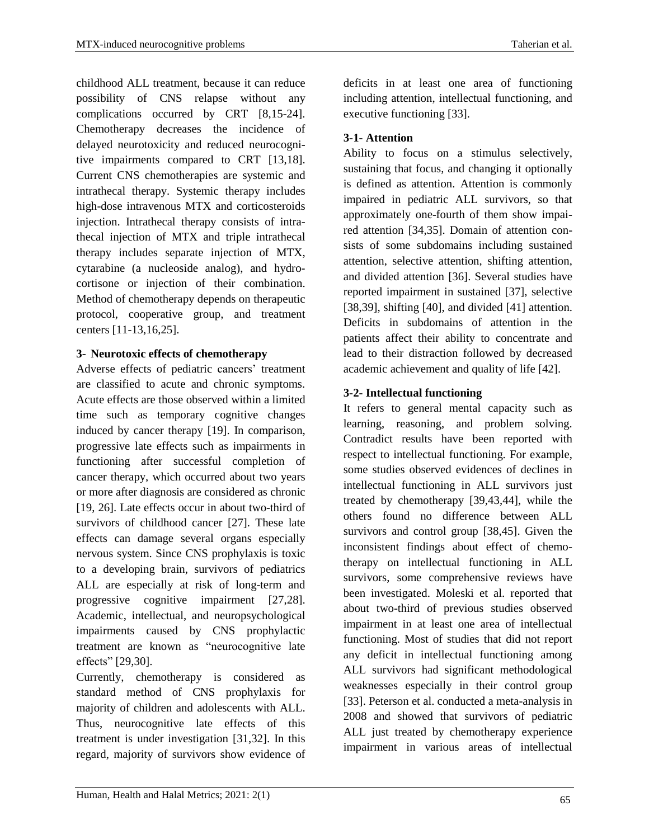childhood ALL treatment, because it can reduce possibility of CNS relapse without any complications occurred by CRT [8,15-24]. Chemotherapy decreases the incidence of delayed neurotoxicity and reduced neurocognitive impairments compared to CRT [13,18]. Current CNS chemotherapies are systemic and intrathecal therapy. Systemic therapy includes high-dose intravenous MTX and corticosteroids injection. Intrathecal therapy consists of intrathecal injection of MTX and triple intrathecal therapy includes separate injection of MTX, cytarabine (a nucleoside analog), and hydrocortisone or injection of their combination. Method of chemotherapy depends on therapeutic protocol, cooperative group, and treatment centers [11-13,16,25].

## **3- Neurotoxic effects of chemotherapy**

Adverse effects of pediatric cancers' treatment are classified to acute and chronic symptoms. Acute effects are those observed within a limited time such as temporary cognitive changes induced by cancer therapy [19]. In comparison, progressive late effects such as impairments in functioning after successful completion of cancer therapy, which occurred about two years or more after diagnosis are considered as chronic [19, 26]. Late effects occur in about two-third of survivors of childhood cancer [27]. These late effects can damage several organs especially nervous system. Since CNS prophylaxis is toxic to a developing brain, survivors of pediatrics ALL are especially at risk of long-term and progressive cognitive impairment [27,28]. Academic, intellectual, and neuropsychological impairments caused by CNS prophylactic treatment are known as "neurocognitive late effects" [29,30].

Currently, chemotherapy is considered as standard method of CNS prophylaxis for majority of children and adolescents with ALL. Thus, neurocognitive late effects of this treatment is under investigation [31,32]. In this regard, majority of survivors show evidence of

deficits in at least one area of functioning including attention, intellectual functioning, and executive functioning [33].

# **3-1- Attention**

Ability to focus on a stimulus selectively, sustaining that focus, and changing it optionally is defined as attention. Attention is commonly impaired in pediatric ALL survivors, so that approximately one-fourth of them show impaired attention [34,35]. Domain of attention consists of some subdomains including sustained attention, selective attention, shifting attention, and divided attention [36]. Several studies have reported impairment in sustained [37], selective [38,39], shifting [40], and divided [41] attention. Deficits in subdomains of attention in the patients affect their ability to concentrate and lead to their distraction followed by decreased academic achievement and quality of life [42].

# **3-2- Intellectual functioning**

It refers to general mental capacity such as learning, reasoning, and problem solving. Contradict results have been reported with respect to intellectual functioning. For example, some studies observed evidences of declines in intellectual functioning in ALL survivors just treated by chemotherapy [39,43,44], while the others found no difference between ALL survivors and control group [38,45]. Given the inconsistent findings about effect of chemotherapy on intellectual functioning in ALL survivors, some comprehensive reviews have been investigated. Moleski et al. reported that about two-third of previous studies observed impairment in at least one area of intellectual functioning. Most of studies that did not report any deficit in intellectual functioning among ALL survivors had significant methodological weaknesses especially in their control group [33]. Peterson et al. conducted a meta-analysis in 2008 and showed that survivors of pediatric ALL just treated by chemotherapy experience impairment in various areas of intellectual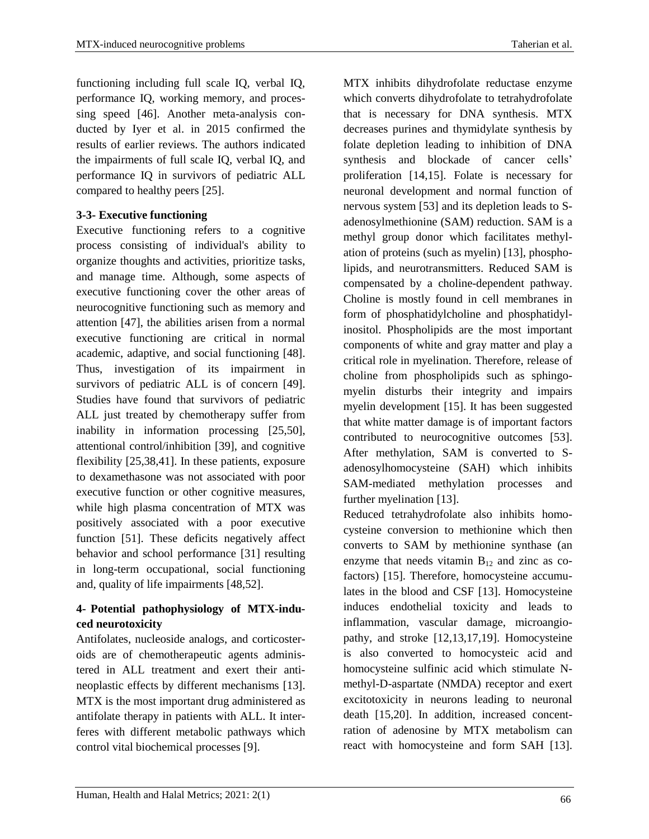functioning including full scale IQ, verbal IQ, performance IQ, working memory, and processing speed [46]. Another meta-analysis conducted by Iyer et al. in 2015 confirmed the results of earlier reviews. The authors indicated the impairments of full scale IQ, verbal IQ, and performance IQ in survivors of pediatric ALL compared to healthy peers [25].

# **3-3- Executive functioning**

Executive functioning refers to a cognitive process consisting of individual's ability to organize thoughts and activities, prioritize tasks, and manage time. Although, some aspects of executive functioning cover the other areas of neurocognitive functioning such as memory and attention [47], the abilities arisen from a normal executive functioning are critical in normal academic, adaptive, and social functioning [48]. Thus, investigation of its impairment in survivors of pediatric ALL is of concern [49]. Studies have found that survivors of pediatric ALL just treated by chemotherapy suffer from inability in information processing [25,50], attentional control/inhibition [39], and cognitive flexibility [25,38,41]. In these patients, exposure to dexamethasone was not associated with poor executive function or other cognitive measures, while high plasma concentration of MTX was positively associated with a poor executive function [51]. These deficits negatively affect behavior and school performance [31] resulting in long-term occupational, social functioning and, quality of life impairments [48,52].

## **4- Potential pathophysiology of MTX-induced neurotoxicity**

Antifolates, nucleoside analogs, and corticosteroids are of chemotherapeutic agents administered in ALL treatment and exert their antineoplastic effects by different mechanisms [13]. MTX is the most important drug administered as antifolate therapy in patients with ALL. It interferes with different metabolic pathways which control vital biochemical processes [9].

MTX inhibits dihydrofolate reductase enzyme which converts dihydrofolate to tetrahydrofolate that is necessary for DNA synthesis. MTX

decreases purines and thymidylate synthesis by folate depletion leading to inhibition of DNA synthesis and blockade of cancer cells' proliferation [14,15]. Folate is necessary for neuronal development and normal function of nervous system [53] and its depletion leads to Sadenosylmethionine (SAM) reduction. SAM is a methyl group donor which facilitates methylation of proteins (such as myelin) [13], phospholipids, and neurotransmitters. Reduced SAM is compensated by a choline-dependent pathway. Choline is mostly found in cell membranes in form of phosphatidylcholine and phosphatidylinositol. Phospholipids are the most important components of white and gray matter and play a critical role in myelination. Therefore, release of choline from phospholipids such as sphingomyelin disturbs their integrity and impairs myelin development [15]. It has been suggested that white matter damage is of important factors contributed to neurocognitive outcomes [53]. After methylation, SAM is converted to Sadenosylhomocysteine (SAH) which inhibits SAM-mediated methylation processes and further myelination [13].

Reduced tetrahydrofolate also inhibits homocysteine conversion to methionine which then converts to SAM by methionine synthase (an enzyme that needs vitamin  $B_{12}$  and zinc as cofactors) [15]. Therefore, homocysteine accumulates in the blood and CSF [13]. Homocysteine induces endothelial toxicity and leads to inflammation, vascular damage, microangiopathy, and stroke [12,13,17,19]. Homocysteine is also converted to homocysteic acid and homocysteine sulfinic acid which stimulate Nmethyl-D-aspartate (NMDA) receptor and exert excitotoxicity in neurons leading to neuronal death [15,20]. In addition, increased concentration of adenosine by MTX metabolism can react with homocysteine and form SAH [13].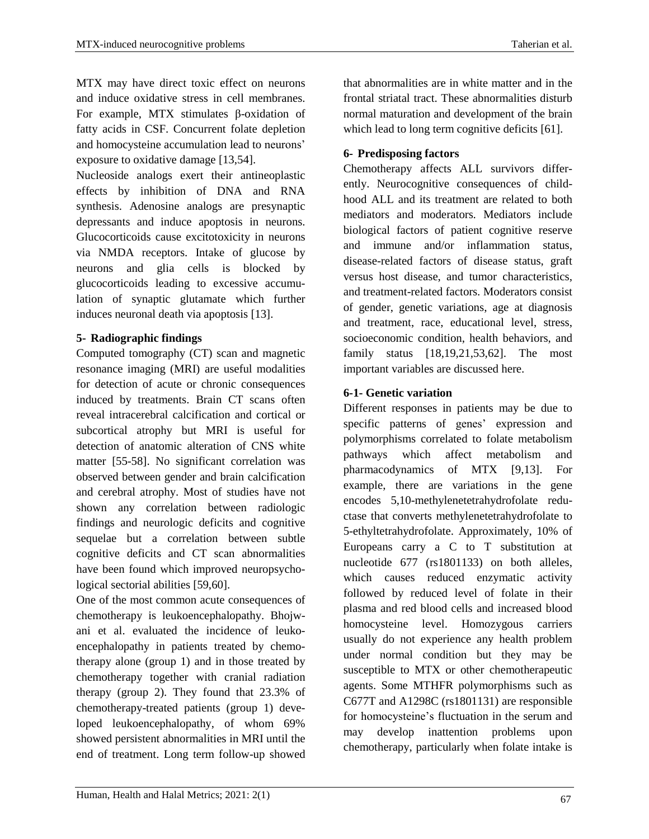MTX may have direct toxic effect on neurons and induce oxidative stress in cell membranes. For example, MTX stimulates β-oxidation of fatty acids in CSF. Concurrent folate depletion and homocysteine accumulation lead to neurons' exposure to oxidative damage [13,54].

Nucleoside analogs exert their antineoplastic effects by inhibition of DNA and RNA synthesis. Adenosine analogs are presynaptic depressants and induce apoptosis in neurons. Glucocorticoids cause excitotoxicity in neurons via NMDA receptors. Intake of glucose by neurons and glia cells is blocked by glucocorticoids leading to excessive accumulation of synaptic glutamate which further induces neuronal death via apoptosis [13].

## **5- Radiographic findings**

Computed tomography (CT) scan and magnetic resonance imaging (MRI) are useful modalities for detection of acute or chronic consequences induced by treatments. Brain CT scans often reveal intracerebral calcification and cortical or subcortical atrophy but MRI is useful for detection of anatomic alteration of CNS white matter [55-58]. No significant correlation was observed between gender and brain calcification and cerebral atrophy. Most of studies have not shown any correlation between radiologic findings and neurologic deficits and cognitive sequelae but a correlation between subtle cognitive deficits and CT scan abnormalities have been found which improved neuropsychological sectorial abilities [59,60].

One of the most common acute consequences of chemotherapy is leukoencephalopathy. Bhojwani et al. evaluated the incidence of leukoencephalopathy in patients treated by chemotherapy alone (group 1) and in those treated by chemotherapy together with cranial radiation therapy (group 2). They found that 23.3% of chemotherapy-treated patients (group 1) developed leukoencephalopathy, of whom 69% showed persistent abnormalities in MRI until the end of treatment. Long term follow-up showed

that abnormalities are in white matter and in the frontal striatal tract. These abnormalities disturb normal maturation and development of the brain which lead to long term cognitive deficits [61].

## **6- Predisposing factors**

Chemotherapy affects ALL survivors differently. Neurocognitive consequences of childhood ALL and its treatment are related to both mediators and moderators. Mediators include biological factors of patient cognitive reserve and immune and/or inflammation status, disease-related factors of disease status, graft versus host disease, and tumor characteristics, and treatment-related factors. Moderators consist of gender, genetic variations, age at diagnosis and treatment, race, educational level, stress, socioeconomic condition, health behaviors, and family status [18,19,21,53,62]. The most important variables are discussed here.

# **6-1- Genetic variation**

Different responses in patients may be due to specific patterns of genes' expression and polymorphisms correlated to folate metabolism pathways which affect metabolism and pharmacodynamics of MTX [9,13]. For example, there are variations in the gene encodes 5,10-methylenetetrahydrofolate reductase that converts methylenetetrahydrofolate to 5-ethyltetrahydrofolate. Approximately, 10% of Europeans carry a C to T substitution at nucleotide 677 (rs1801133) on both alleles, which causes reduced enzymatic activity followed by reduced level of folate in their plasma and red blood cells and increased blood homocysteine level. Homozygous carriers usually do not experience any health problem under normal condition but they may be susceptible to MTX or other chemotherapeutic agents. Some MTHFR polymorphisms such as C677T and A1298C (rs1801131) are responsible for homocysteine's fluctuation in the serum and may develop inattention problems upon chemotherapy, particularly when folate intake is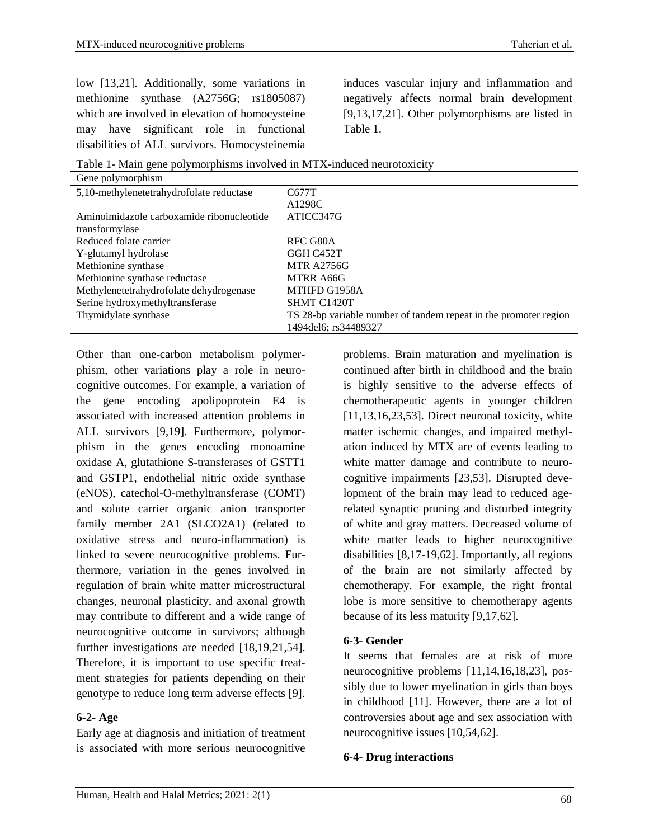low [13,21]. Additionally, some variations in methionine synthase (A2756G; rs1805087) which are involved in elevation of homocysteine may have significant role in functional disabilities of ALL survivors. Homocysteinemia

induces vascular injury and inflammation and negatively affects normal brain development [9,13,17,21]. Other polymorphisms are listed in Table 1.

| C677T                                                            |
|------------------------------------------------------------------|
| A1298C                                                           |
| ATICC347G                                                        |
|                                                                  |
| RFC G80A                                                         |
| GGH C452T                                                        |
| <b>MTR A2756G</b>                                                |
| MTRR A66G                                                        |
| MTHFD G1958A                                                     |
| SHMT C1420T                                                      |
| TS 28-bp variable number of tandem repeat in the promoter region |
| 1494 del 6; rs 34489327                                          |
|                                                                  |

Table 1- Main gene polymorphisms involved in MTX-induced neurotoxicity

Other than one-carbon metabolism polymerphism, other variations play a role in neurocognitive outcomes. For example, a variation of the gene encoding apolipoprotein E4 is associated with increased attention problems in ALL survivors [9,19]. Furthermore, polymorphism in the genes encoding monoamine oxidase A, glutathione S-transferases of GSTT1 and GSTP1, endothelial nitric oxide synthase (eNOS), catechol-O-methyltransferase (COMT) and solute carrier organic anion transporter family member 2A1 (SLCO2A1) (related to oxidative stress and neuro-inflammation) is linked to severe neurocognitive problems. Furthermore, variation in the genes involved in regulation of brain white matter microstructural changes, neuronal plasticity, and axonal growth may contribute to different and a wide range of neurocognitive outcome in survivors; although further investigations are needed [18,19,21,54]. Therefore, it is important to use specific treatment strategies for patients depending on their genotype to reduce long term adverse effects [9].

### **6-2- Age**

Early age at diagnosis and initiation of treatment is associated with more serious neurocognitive

problems. Brain maturation and myelination is continued after birth in childhood and the brain is highly sensitive to the adverse effects of chemotherapeutic agents in younger children  $[11,13,16,23,53]$ . Direct neuronal toxicity, white matter ischemic changes, and impaired methylation induced by MTX are of events leading to white matter damage and contribute to neurocognitive impairments [23,53]. Disrupted development of the brain may lead to reduced agerelated synaptic pruning and disturbed integrity of white and gray matters. Decreased volume of white matter leads to higher neurocognitive disabilities [8,17-19,62]. Importantly, all regions of the brain are not similarly affected by chemotherapy. For example, the right frontal lobe is more sensitive to chemotherapy agents because of its less maturity [9,17,62].

### **6-3- Gender**

It seems that females are at risk of more neurocognitive problems [11,14,16,18,23], possibly due to lower myelination in girls than boys in childhood [11]. However, there are a lot of controversies about age and sex association with neurocognitive issues [10,54,62].

### **6-4- Drug interactions**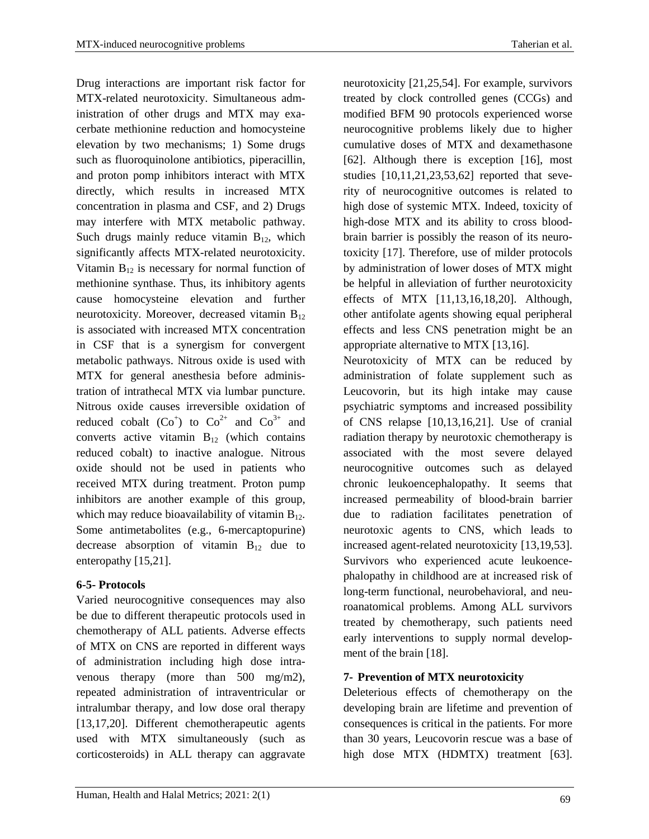Drug interactions are important risk factor for MTX-related neurotoxicity. Simultaneous administration of other drugs and MTX may exacerbate methionine reduction and homocysteine elevation by two mechanisms; 1) Some drugs such as fluoroquinolone antibiotics, piperacillin, and proton pomp inhibitors interact with MTX directly, which results in increased MTX concentration in plasma and CSF, and 2) Drugs may interfere with MTX metabolic pathway. Such drugs mainly reduce vitamin  $B_{12}$ , which significantly affects MTX-related neurotoxicity. Vitamin  $B_{12}$  is necessary for normal function of methionine synthase. Thus, its inhibitory agents cause homocysteine elevation and further neurotoxicity. Moreover, decreased vitamin  $B_{12}$ is associated with increased MTX concentration in CSF that is a synergism for convergent metabolic pathways. Nitrous oxide is used with MTX for general anesthesia before administration of intrathecal MTX via lumbar puncture. Nitrous oxide causes irreversible oxidation of reduced cobalt  $(Co^+)$  to  $Co^{2+}$  and  $Co^{3+}$  and converts active vitamin  $B_{12}$  (which contains reduced cobalt) to inactive analogue. Nitrous oxide should not be used in patients who received MTX during treatment. Proton pump inhibitors are another example of this group, which may reduce bioavailability of vitamin  $B_{12}$ . Some antimetabolites (e.g., 6-mercaptopurine) decrease absorption of vitamin  $B_{12}$  due to enteropathy [15,21].

## **6-5- Protocols**

Varied neurocognitive consequences may also be due to different therapeutic protocols used in chemotherapy of ALL patients. Adverse effects of MTX on CNS are reported in different ways of administration including high dose intravenous therapy (more than 500 mg/m2), repeated administration of intraventricular or intralumbar therapy, and low dose oral therapy [13,17,20]. Different chemotherapeutic agents used with MTX simultaneously (such as corticosteroids) in ALL therapy can aggravate neurotoxicity [21,25,54]. For example, survivors treated by clock controlled genes (CCGs) and modified BFM 90 protocols experienced worse neurocognitive problems likely due to higher cumulative doses of MTX and dexamethasone [62]. Although there is exception [16], most studies [10,11,21,23,53,62] reported that severity of neurocognitive outcomes is related to high dose of systemic MTX. Indeed, toxicity of high-dose MTX and its ability to cross bloodbrain barrier is possibly the reason of its neurotoxicity [17]. Therefore, use of milder protocols by administration of lower doses of MTX might be helpful in alleviation of further neurotoxicity effects of MTX [11,13,16,18,20]. Although, other antifolate agents showing equal peripheral effects and less CNS penetration might be an appropriate alternative to MTX [13,16].

Neurotoxicity of MTX can be reduced by administration of folate supplement such as Leucovorin, but its high intake may cause psychiatric symptoms and increased possibility of CNS relapse [10,13,16,21]. Use of cranial radiation therapy by neurotoxic chemotherapy is associated with the most severe delayed neurocognitive outcomes such as delayed chronic leukoencephalopathy. It seems that increased permeability of blood-brain barrier due to radiation facilitates penetration of neurotoxic agents to CNS, which leads to increased agent-related neurotoxicity [13,19,53]. Survivors who experienced acute leukoencephalopathy in childhood are at increased risk of long-term functional, neurobehavioral, and neuroanatomical problems. Among ALL survivors treated by chemotherapy, such patients need early interventions to supply normal development of the brain [18].

## **7- Prevention of MTX neurotoxicity**

Deleterious effects of chemotherapy on the developing brain are lifetime and prevention of consequences is critical in the patients. For more than 30 years, Leucovorin rescue was a base of high dose MTX (HDMTX) treatment [63].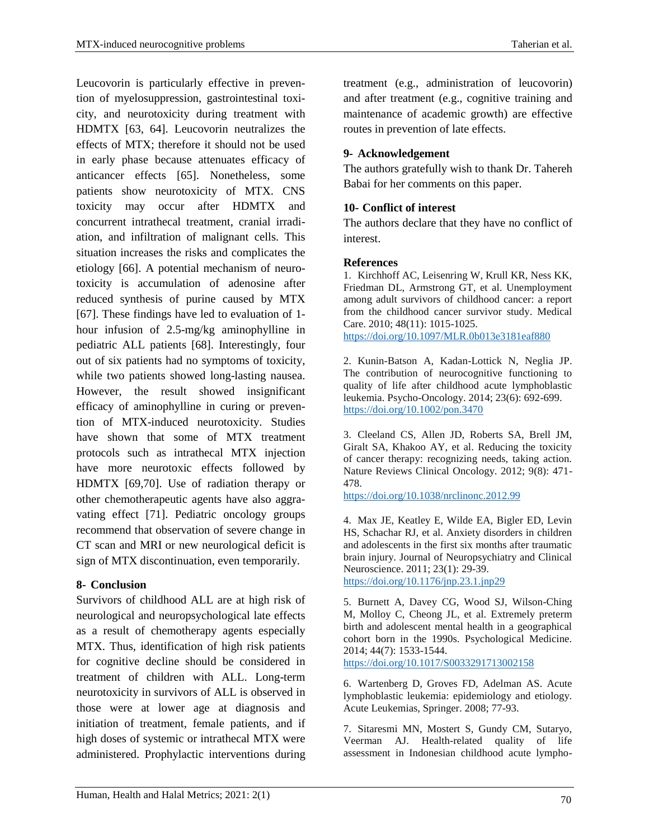Leucovorin is particularly effective in prevention of myelosuppression, gastrointestinal toxicity, and neurotoxicity during treatment with HDMTX [63, 64]. Leucovorin neutralizes the effects of MTX; therefore it should not be used in early phase because attenuates efficacy of anticancer effects [65]. Nonetheless, some patients show neurotoxicity of MTX. CNS toxicity may occur after HDMTX and concurrent intrathecal treatment, cranial irradiation, and infiltration of malignant cells. This situation increases the risks and complicates the etiology [66]. A potential mechanism of neurotoxicity is accumulation of adenosine after reduced synthesis of purine caused by MTX [67]. These findings have led to evaluation of 1 hour infusion of 2.5-mg/kg aminophylline in pediatric ALL patients [68]. Interestingly, four out of six patients had no symptoms of toxicity, while two patients showed long-lasting nausea. However, the result showed insignificant efficacy of aminophylline in curing or prevention of MTX-induced neurotoxicity. Studies have shown that some of MTX treatment protocols such as intrathecal MTX injection have more neurotoxic effects followed by HDMTX [69,70]. Use of radiation therapy or other chemotherapeutic agents have also aggravating effect [71]. Pediatric oncology groups recommend that observation of severe change in CT scan and MRI or new neurological deficit is sign of MTX discontinuation, even temporarily.

## **8- Conclusion**

Survivors of childhood ALL are at high risk of neurological and neuropsychological late effects as a result of chemotherapy agents especially MTX. Thus, identification of high risk patients for cognitive decline should be considered in treatment of children with ALL. Long-term neurotoxicity in survivors of ALL is observed in those were at lower age at diagnosis and initiation of treatment, female patients, and if high doses of systemic or intrathecal MTX were administered. Prophylactic interventions during

## **9- Acknowledgement**

routes in prevention of late effects.

The authors gratefully wish to thank Dr. Tahereh Babai for her comments on this paper.

maintenance of academic growth) are effective

## **10- Conflict of interest**

The authors declare that they have no conflict of interest.

### **References**

1. Kirchhoff AC, Leisenring W, Krull KR, Ness KK, Friedman DL, Armstrong GT, et al. Unemployment among adult survivors of childhood cancer: a report from the childhood cancer survivor study. Medical Care. 2010; 48(11): 1015-1025. https://doi.org[/10.1097/MLR.0b013e3181eaf880](https://dx.doi.org/10.1097%2FMLR.0b013e3181eaf880)

2. Kunin-Batson A, Kadan-Lottick N, Neglia JP. The contribution of neurocognitive functioning to quality of life after childhood acute lymphoblastic leukemia. Psycho-Oncology. 2014; 23(6): 692-699. https://doi.org/10.1002/pon.3470

3. Cleeland CS, Allen JD, Roberts SA, Brell JM, Giralt SA, Khakoo AY, et al. Reducing the toxicity of cancer therapy: recognizing needs, taking action. Nature Reviews Clinical Oncology. 2012; 9(8): 471- 478.

https://doi.org/10.1038/nrclinonc.2012.99

4. Max JE, Keatley E, Wilde EA, Bigler ED, Levin HS, Schachar RJ, et al. Anxiety disorders in children and adolescents in the first six months after traumatic brain injury. Journal of Neuropsychiatry and Clinical Neuroscience. 2011; 23(1): 29-39. https://doi.org[/10.1176/jnp.23.1.jnp29](https://doi.org/10.1176/jnp.23.1.jnp29)

5. Burnett A, Davey CG, Wood SJ, Wilson-Ching M, Molloy C, Cheong JL, et al. Extremely preterm birth and adolescent mental health in a geographical cohort born in the 1990s. Psychological Medicine. 2014; 44(7): 1533-1544. https://doi.org/10.1017/S0033291713002158

6. Wartenberg D, Groves FD, Adelman AS. Acute lymphoblastic leukemia: epidemiology and etiology. Acute Leukemias, Springer. 2008; 77-93.

7. Sitaresmi MN, Mostert S, Gundy CM, Sutaryo, Veerman AJ. Health-related quality of life assessment in Indonesian childhood acute lympho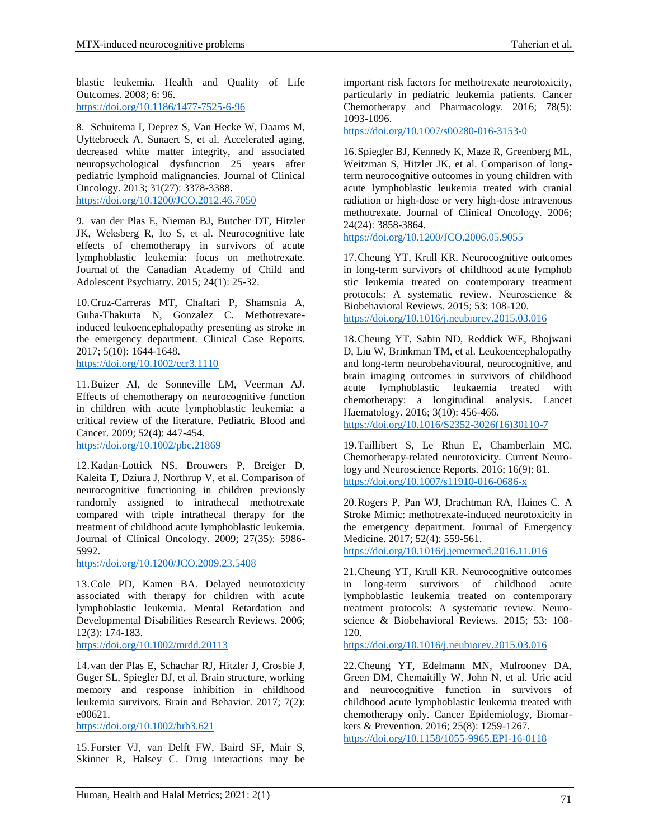blastic leukemia. Health and Quality of Life Outcomes. 2008; 6: 96. https://doi.org[/10.1186/1477-7525-6-96](https://dx.doi.org/10.1186%2F1477-7525-6-96)

8. Schuitema I, Deprez S, Van Hecke W, Daams M, Uyttebroeck A, Sunaert S, et al. Accelerated aging, decreased white matter integrity, and associated neuropsychological dysfunction 25 years after pediatric lymphoid malignancies. Journal of Clinical Oncology. 2013; 31(27): 3378-3388. https://doi.org[/10.1200/JCO.2012.46.7050](https://doi.org/10.1200/JCO.2012.46.7050)

9. van der Plas E, Nieman BJ, Butcher DT, Hitzler JK, Weksberg R, Ito S, et al. Neurocognitive late effects of chemotherapy in survivors of acute lymphoblastic leukemia: focus on methotrexate. Journal of the Canadian Academy of Child and Adolescent Psychiatry. 2015; 24(1): 25-32.

10.Cruz-Carreras MT, Chaftari P, Shamsnia A, Guha-Thakurta N, Gonzalez C. Methotrexateinduced leukoencephalopathy presenting as stroke in the emergency department. Clinical Case Reports. 2017; 5(10): 1644-1648. https://doi.org[/10.1002/ccr3.1110](https://dx.doi.org/10.1002%2Fccr3.1110)

11.Buizer AI, de Sonneville LM, Veerman AJ. Effects of chemotherapy on neurocognitive function in children with acute lymphoblastic leukemia: a critical review of the literature. Pediatric Blood and Cancer. 2009; 52(4): 447-454.

https://doi.org[/10.1002/pbc.21869](https://doi.org/10.1002/pbc.21869)

12.Kadan-Lottick NS, Brouwers P, Breiger D, Kaleita T, Dziura J, Northrup V, et al. Comparison of neurocognitive functioning in children previously randomly assigned to intrathecal methotrexate compared with triple intrathecal therapy for the treatment of childhood acute lymphoblastic leukemia. Journal of Clinical Oncology. 2009; 27(35): 5986- 5992.

https://doi.org/10.1200/JCO.2009.23.5408

13.Cole PD, Kamen BA. Delayed neurotoxicity associated with therapy for children with acute lymphoblastic leukemia. Mental Retardation and Developmental Disabilities Research Reviews. 2006; 12(3): 174-183.

<https://doi.org/10.1002/mrdd.20113>

14.van der Plas E, Schachar RJ, Hitzler J, Crosbie J, Guger SL, Spiegler BJ, et al. Brain structure, working memory and response inhibition in childhood leukemia survivors. Brain and Behavior. 2017; 7(2): e00621.

<https://doi.org/10.1002/brb3.621>

15.Forster VJ, van Delft FW, Baird SF, Mair S, Skinner R, Halsey C. Drug interactions may be important risk factors for methotrexate neurotoxicity, particularly in pediatric leukemia patients. Cancer Chemotherapy and Pharmacology. 2016; 78(5): 1093-1096.

https://doi.org/10.1007/s00280-016-3153-0

16.Spiegler BJ, Kennedy K, Maze R, Greenberg ML, Weitzman S, Hitzler JK, et al. Comparison of longterm neurocognitive outcomes in young children with acute lymphoblastic leukemia treated with cranial radiation or high-dose or very high-dose intravenous methotrexate. Journal of Clinical Oncology. 2006; 24(24): 3858-3864.

https://doi.org/10.1200/JCO.2006.05.9055

17.Cheung YT, Krull KR. Neurocognitive outcomes in long-term survivors of childhood acute lymphob stic leukemia treated on contemporary treatment protocols: A systematic review. Neuroscience & Biobehavioral Reviews. 2015; 53: 108-120. https://doi.org/10.1016/j.neubiorev.2015.03.016

18.Cheung YT, Sabin ND, Reddick WE, Bhojwani D, Liu W, Brinkman TM, et al. Leukoencephalopathy and long-term neurobehavioural, neurocognitive, and brain imaging outcomes in survivors of childhood acute lymphoblastic leukaemia treated with chemotherapy: a longitudinal analysis. Lancet Haematology. 2016; 3(10): 456-466.

https://doi.org/10.1016/S2352-3026(16)30110-7

19.Taillibert S, Le Rhun E, Chamberlain MC. Chemotherapy-related neurotoxicity. Current Neurology and Neuroscience Reports. 2016; 16(9): 81. https://doi.org/10.1007/s11910-016-0686-x

20.Rogers P, Pan WJ, Drachtman RA, Haines C. A Stroke Mimic: methotrexate-induced neurotoxicity in the emergency department. Journal of Emergency Medicine. 2017; 52(4): 559-561.

https://doi.org/10.1016/j.jemermed.2016.11.016

21.Cheung YT, Krull KR. Neurocognitive outcomes in long-term survivors of childhood acute lymphoblastic leukemia treated on contemporary treatment protocols: A systematic review. Neuroscience & Biobehavioral Reviews. 2015; 53: 108- 120.

https://doi.org/10.1016/j.neubiorev.2015.03.016

22.Cheung YT, Edelmann MN, Mulrooney DA, Green DM, Chemaitilly W, John N, et al. Uric acid and neurocognitive function in survivors of childhood acute lymphoblastic leukemia treated with chemotherapy only. Cancer Epidemiology, Biomarkers & Prevention. 2016; 25(8): 1259-1267. https://doi.org/10.1158/1055-9965.EPI-16-0118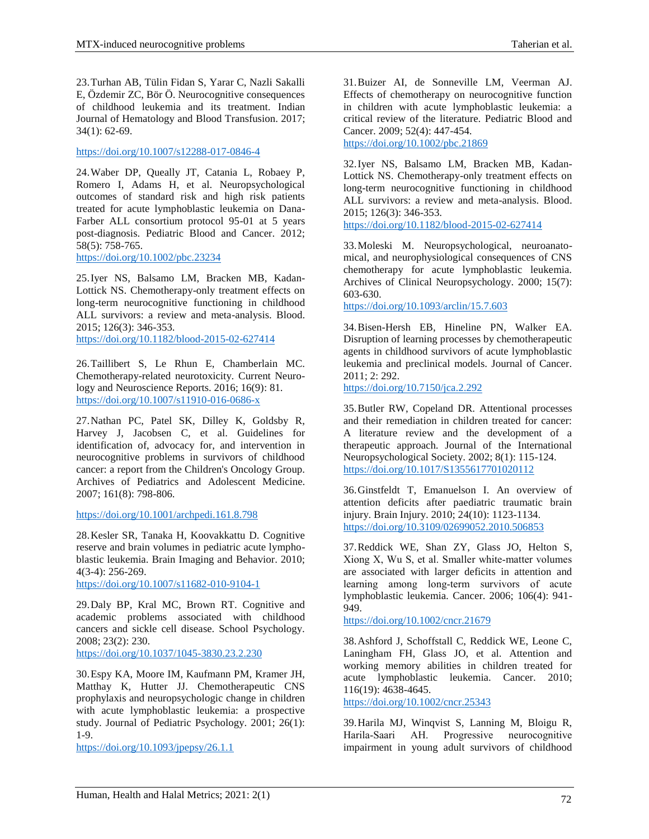23.Turhan AB, Tülin Fidan S, Yarar C, Nazli Sakalli E, Özdemir ZC, Bör Ö. Neurocognitive consequences of childhood leukemia and its treatment. [Indian](https://www.springer.com/journal/12288) Journal of Hematology and Blood [Transfusion.](https://www.springer.com/journal/12288) 2017; 34(1): 62-69.

https://doi.org/10.1007/s12288-017-0846-4

24.Waber DP, Queally JT, Catania L, Robaey P, Romero I, Adams H, et al. Neuropsychological outcomes of standard risk and high risk patients treated for acute lymphoblastic leukemia on Dana-Farber ALL consortium protocol 95-01 at 5 years post-diagnosis. Pediatric Blood and Cancer. 2012; 58(5): 758-765.

<https://doi.org/10.1002/pbc.23234>

25.Iyer NS, Balsamo LM, Bracken MB, Kadan-Lottick NS. Chemotherapy-only treatment effects on long-term neurocognitive functioning in childhood ALL survivors: a review and meta-analysis. Blood. 2015; 126(3): 346-353.

<https://doi.org/10.1182/blood-2015-02-627414>

26.Taillibert S, Le Rhun E, Chamberlain MC. Chemotherapy-related neurotoxicity. Current Neurology and Neuroscience Reports. 2016; 16(9): 81. https://doi.org/10.1007/s11910-016-0686-x

27.Nathan PC, Patel SK, Dilley K, Goldsby R, Harvey J, Jacobsen C, et al. Guidelines for identification of, advocacy for, and intervention in neurocognitive problems in survivors of childhood cancer: a report from the Children's Oncology Group. Archives of Pediatrics and [Adolescent](https://www.psc.isr.umich.edu/dis/infoserv/journal/detail/1212.html) Medicine. 2007; 161(8): 798-806.

https://doi.org/10.1001/archpedi.161.8.798

28.Kesler SR, Tanaka H, Koovakkattu D. Cognitive reserve and brain volumes in pediatric acute lymphoblastic leukemia. Brain Imaging and Behavior. 2010; 4(3-4): 256-269.

https://doi.org/10.1007/s11682-010-9104-1

29.Daly BP, Kral MC, Brown RT. Cognitive and academic problems associated with childhood cancers and sickle cell disease. School Psychology. 2008; 23(2): 230.

https://doi.org/10.1037/1045-3830.23.2.230

30.Espy KA, Moore IM, Kaufmann PM, Kramer JH, Matthay K, Hutter JJ. Chemotherapeutic CNS prophylaxis and neuropsychologic change in children with acute lymphoblastic leukemia: a prospective study. Journal of Pediatric Psychology. 2001; 26(1): 1-9.

<https://doi.org/10.1093/jpepsy/26.1.1>

31.Buizer AI, de Sonneville LM, Veerman AJ. Effects of chemotherapy on neurocognitive function in children with acute lymphoblastic leukemia: a critical review of the literature. Pediatric Blood and Cancer. 2009; 52(4): 447-454.

https://doi.org/10.1002/pbc.21869

32.Iyer NS, Balsamo LM, Bracken MB, Kadan-Lottick NS. Chemotherapy-only treatment effects on long-term neurocognitive functioning in childhood ALL survivors: a review and meta-analysis. Blood. 2015; 126(3): 346-353.

<https://doi.org/10.1182/blood-2015-02-627414>

33.Moleski M. Neuropsychological, neuroanatomical, and neurophysiological consequences of CNS chemotherapy for acute lymphoblastic leukemia. Archives of Clinical Neuropsychology. 2000; 15(7): 603-630.

<https://doi.org/10.1093/arclin/15.7.603>

34.Bisen-Hersh EB, Hineline PN, Walker EA. Disruption of learning processes by chemotherapeutic agents in childhood survivors of acute lymphoblastic leukemia and preclinical models. Journal of Cancer. 2011; 2: 292.

https://doi.org/10.7150/jca.2.292

35.Butler RW, Copeland DR. Attentional processes and their remediation in children treated for cancer: A literature review and the development of a therapeutic approach. Journal of the International Neuropsychological Society. 2002; 8(1): 115-124. https://doi.org/10.1017/S1355617701020112

36.Ginstfeldt T, Emanuelson I. An overview of attention deficits after paediatric traumatic brain injury. Brain Injury. 2010; 24(10): 1123-1134. https://doi.org/10.3109/02699052.2010.506853

37.Reddick WE, Shan ZY, Glass JO, Helton S, Xiong X, Wu S, et al. Smaller white-matter volumes are associated with larger deficits in attention and learning among long‐term survivors of acute lymphoblastic leukemia. Cancer. 2006; 106(4): 941- 949.

https://doi.org/10.1002/cncr.21679

38.Ashford J, Schoffstall C, Reddick WE, Leone C, Laningham FH, Glass JO, et al. Attention and working memory abilities in children treated for acute lymphoblastic leukemia. Cancer. 2010; 116(19): 4638-4645.

https://doi.org/10.1002/cncr.25343

39.Harila MJ, Winqvist S, Lanning M, Bloigu R, Harila‐Saari AH. Progressive neurocognitive impairment in young adult survivors of childhood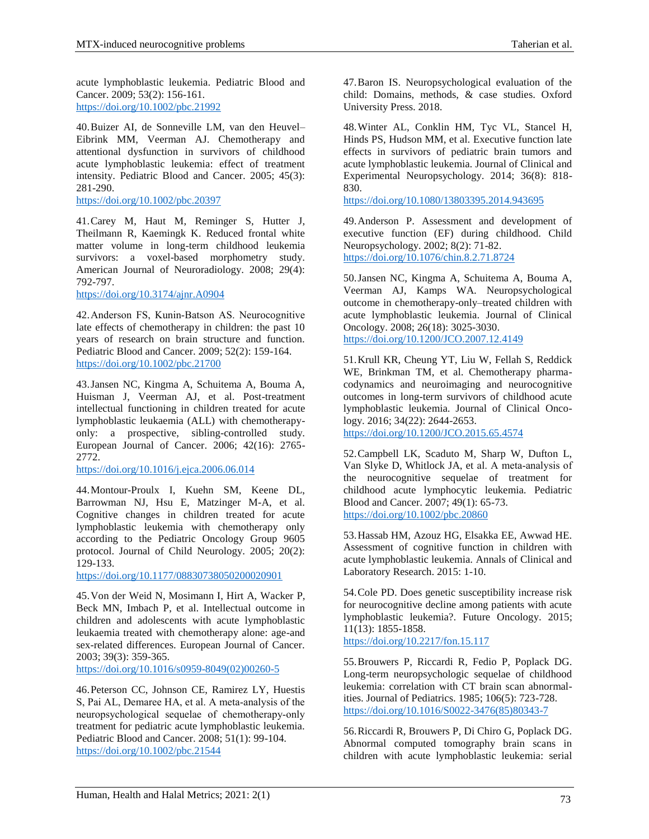acute lymphoblastic leukemia. Pediatric Blood and Cancer. 2009; 53(2): 156-161. https://doi.org/10.1002/pbc.21992

40.Buizer AI, de Sonneville LM, van den Heuvel– Eibrink MM, Veerman AJ. Chemotherapy and attentional dysfunction in survivors of childhood acute lymphoblastic leukemia: effect of treatment intensity. Pediatric Blood and Cancer. 2005; 45(3): 281-290.

https://doi.org[/10.1002/pbc.20397](https://doi.org/10.1002/pbc.20397)

41.Carey M, Haut M, Reminger S, Hutter J, Theilmann R, Kaemingk K. Reduced frontal white matter volume in long-term childhood leukemia survivors: a voxel-based morphometry study. American Journal of Neuroradiology. 2008; 29(4): 792-797.

https://doi.org/10.3174/ajnr.A0904

42.Anderson FS, Kunin‐Batson AS. Neurocognitive late effects of chemotherapy in children: the past 10 years of research on brain structure and function. Pediatric Blood and Cancer. 2009; 52(2): 159-164. https://doi.org[/10.1002/pbc.21700](https://doi.org/10.1002/pbc.21700)

43.Jansen NC, Kingma A, Schuitema A, Bouma A, Huisman J, Veerman AJ, et al. Post-treatment intellectual functioning in children treated for acute lymphoblastic leukaemia (ALL) with chemotherapyonly: a prospective, sibling-controlled study. European Journal of Cancer. 2006; 42(16): 2765- 2772.

<https://doi.org/10.1016/j.ejca.2006.06.014>

44.Montour-Proulx I, Kuehn SM, Keene DL, Barrowman NJ, Hsu E, Matzinger M-A, et al. Cognitive changes in children treated for acute lymphoblastic leukemia with chemotherapy only according to the Pediatric Oncology Group 9605 protocol. Journal of Child Neurology. 2005; 20(2): 129-133.

[https://doi.org/10.1177/08830738050200020901](https://doi.org/10.1177%2F08830738050200020901)

45.Von der Weid N, Mosimann I, Hirt A, Wacker P, Beck MN, Imbach P, et al. Intellectual outcome in children and adolescents with acute lymphoblastic leukaemia treated with chemotherapy alone: age-and sex-related differences. European Journal of Cancer. 2003; 39(3): 359-365.

https://doi.org/10.1016/s0959-8049(02)00260-5

46.Peterson CC, Johnson CE, Ramirez LY, Huestis S, Pai AL, Demaree HA, et al. A meta‐analysis of the neuropsychological sequelae of chemotherapy‐only treatment for pediatric acute lymphoblastic leukemia. Pediatric Blood and Cancer. 2008; 51(1): 99-104. https://doi.org/10.1002/pbc.21544

47.Baron IS. Neuropsychological evaluation of the child: Domains, methods, & case studies. Oxford University Press. 2018.

48.Winter AL, Conklin HM, Tyc VL, Stancel H, Hinds PS, Hudson MM, et al. Executive function late effects in survivors of pediatric brain tumors and acute lymphoblastic leukemia. Journal of Clinical and Experimental Neuropsychology. 2014; 36(8): 818- 830.

https://doi.org/10.1080/13803395.2014.943695

49.Anderson P. Assessment and development of executive function (EF) during childhood. Child Neuropsychology. 2002; 8(2): 71-82. https://doi.org/10.1076/chin.8.2.71.8724

50.Jansen NC, Kingma A, Schuitema A, Bouma A, Veerman AJ, Kamps WA. Neuropsychological outcome in chemotherapy-only–treated children with acute lymphoblastic leukemia. Journal of Clinical Oncology. 2008; 26(18): 3025-3030. https://doi.org/10.1200/JCO.2007.12.4149

51.Krull KR, Cheung YT, Liu W, Fellah S, Reddick WE, Brinkman TM, et al. Chemotherapy pharmacodynamics and neuroimaging and neurocognitive outcomes in long-term survivors of childhood acute lymphoblastic leukemia. Journal of Clinical Oncology. 2016; 34(22): 2644-2653. https://doi.org/10.1200/JCO.2015.65.4574

52.Campbell LK, Scaduto M, Sharp W, Dufton L, Van Slyke D, Whitlock JA, et al. A meta‐analysis of the neurocognitive sequelae of treatment for childhood acute lymphocytic leukemia. Pediatric Blood and Cancer. 2007; 49(1): 65-73. https://doi.org/10.1002/pbc.20860

53.Hassab HM, Azouz HG, Elsakka EE, Awwad HE. Assessment of cognitive function in children with acute lymphoblastic leukemia. Annals of Clinical and Laboratory Research. 2015: 1-10.

54.Cole PD. Does genetic susceptibility increase risk for neurocognitive decline among patients with acute lymphoblastic leukemia?. Future Oncology. 2015; 11(13): 1855-1858. <https://doi.org/10.2217/fon.15.117>

55.Brouwers P, Riccardi R, Fedio P, Poplack DG. Long-term neuropsychologic sequelae of childhood leukemia: correlation with CT brain scan abnormalities. Journal of Pediatrics. 1985; 106(5): 723-728. https://doi.org/10.1016/S0022-3476(85)80343-7

56.Riccardi R, Brouwers P, Di Chiro G, Poplack DG. Abnormal computed tomography brain scans in children with acute lymphoblastic leukemia: serial